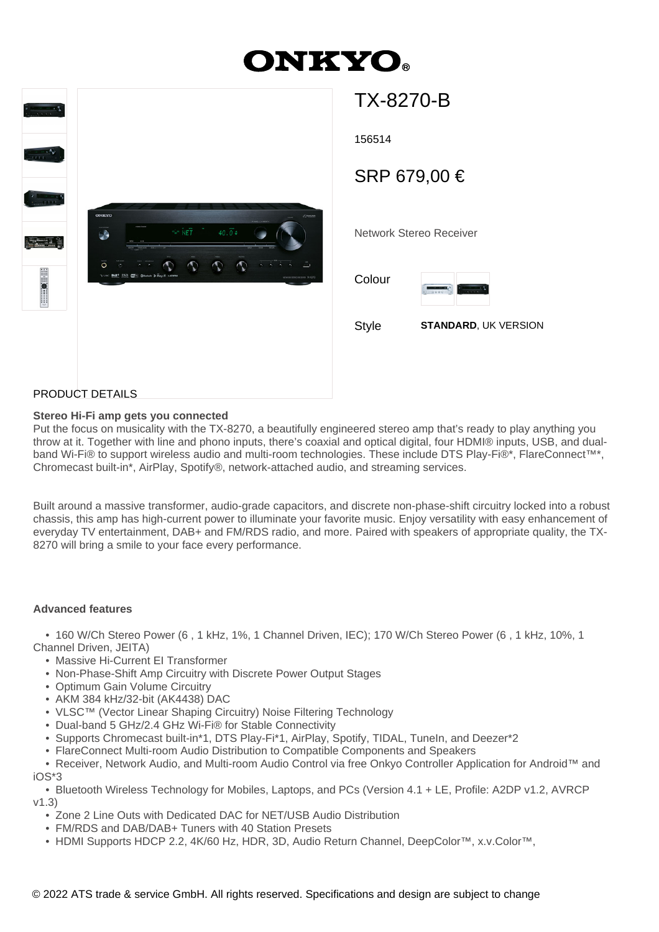# **ONKYO**



TX-8270-B 156514 Network Stereo Receiver SRP 679,00 € Colour Style **STANDARD**, UK VERSION

## PRODUCT DETAILS

#### **Stereo Hi-Fi amp gets you connected**

Put the focus on musicality with the TX-8270, a beautifully engineered stereo amp that's ready to play anything you throw at it. Together with line and phono inputs, there's coaxial and optical digital, four HDMI® inputs, USB, and dualband Wi-Fi® to support wireless audio and multi-room technologies. These include DTS Play-Fi®\*, FlareConnect™\*, Chromecast built-in\*, AirPlay, Spotify®, network-attached audio, and streaming services.

Built around a massive transformer, audio-grade capacitors, and discrete non-phase-shift circuitry locked into a robust chassis, this amp has high-current power to illuminate your favorite music. Enjoy versatility with easy enhancement of everyday TV entertainment, DAB+ and FM/RDS radio, and more. Paired with speakers of appropriate quality, the TX-8270 will bring a smile to your face every performance.

#### **Advanced features**

 • 160 W/Ch Stereo Power (6 , 1 kHz, 1%, 1 Channel Driven, IEC); 170 W/Ch Stereo Power (6 , 1 kHz, 10%, 1 Channel Driven, JEITA)

- Massive Hi-Current EI Transformer
- Non-Phase-Shift Amp Circuitry with Discrete Power Output Stages
- Optimum Gain Volume Circuitry
- AKM 384 kHz/32-bit (AK4438) DAC
- VLSC™ (Vector Linear Shaping Circuitry) Noise Filtering Technology
- Dual-band 5 GHz/2.4 GHz Wi-Fi® for Stable Connectivity
- Supports Chromecast built-in\*1, DTS Play-Fi\*1, AirPlay, Spotify, TIDAL, TuneIn, and Deezer\*2
- FlareConnect Multi-room Audio Distribution to Compatible Components and Speakers

 • Receiver, Network Audio, and Multi-room Audio Control via free Onkyo Controller Application for Android™ and iOS\*3

 • Bluetooth Wireless Technology for Mobiles, Laptops, and PCs (Version 4.1 + LE, Profile: A2DP v1.2, AVRCP v1.3)

- Zone 2 Line Outs with Dedicated DAC for NET/USB Audio Distribution
- FM/RDS and DAB/DAB+ Tuners with 40 Station Presets
- HDMI Supports HDCP 2.2, 4K/60 Hz, HDR, 3D, Audio Return Channel, DeepColor™, x.v.Color™,